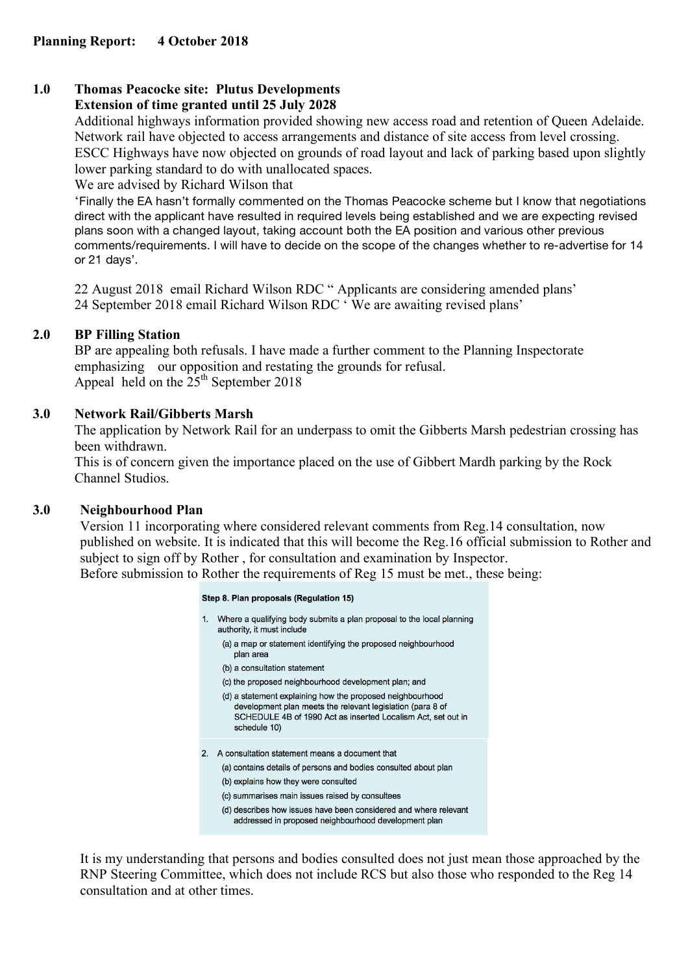#### **1.0 Thomas Peacocke site: Plutus Developments Extension of time granted until 25 July 2028**

Additional highways information provided showing new access road and retention of Queen Adelaide. Network rail have objected to access arrangements and distance of site access from level crossing. ESCC Highways have now objected on grounds of road layout and lack of parking based upon slightly lower parking standard to do with unallocated spaces.

We are advised by Richard Wilson that

'Finally the EA hasn't formally commented on the Thomas Peacocke scheme but I know that negotiations direct with the applicant have resulted in required levels being established and we are expecting revised plans soon with a changed layout, taking account both the EA position and various other previous comments/requirements. I will have to decide on the scope of the changes whether to re-advertise for 14 or 21 days'.

22 August 2018 email Richard Wilson RDC " Applicants are considering amended plans' 24 September 2018 email Richard Wilson RDC ' We are awaiting revised plans'

# **2.0 BP Filling Station**

BP are appealing both refusals. I have made a further comment to the Planning Inspectorate emphasizing our opposition and restating the grounds for refusal. Appeal held on the  $25<sup>th</sup>$  September 2018

# **3.0 Network Rail/Gibberts Marsh**

The application by Network Rail for an underpass to omit the Gibberts Marsh pedestrian crossing has been withdrawn.

This is of concern given the importance placed on the use of Gibbert Mardh parking by the Rock Channel Studios.

# **3.0 Neighbourhood Plan**

Version 11 incorporating where considered relevant comments from Reg.14 consultation, now published on website. It is indicated that this will become the Reg.16 official submission to Rother and subject to sign off by Rother , for consultation and examination by Inspector. Before submission to Rother the requirements of Reg 15 must be met., these being:

| Step 8. Plan proposals (Regulation 15) |                                                                                                                                                                                                         |
|----------------------------------------|---------------------------------------------------------------------------------------------------------------------------------------------------------------------------------------------------------|
| 1.                                     | Where a qualifying body submits a plan proposal to the local planning<br>authority, it must include                                                                                                     |
|                                        | (a) a map or statement identifying the proposed neighbourhood<br>plan area                                                                                                                              |
|                                        | (b) a consultation statement                                                                                                                                                                            |
|                                        | (c) the proposed neighbourhood development plan; and                                                                                                                                                    |
|                                        | (d) a statement explaining how the proposed neighbourhood<br>development plan meets the relevant legislation (para 8 of<br>SCHEDULE 4B of 1990 Act as inserted Localism Act, set out in<br>schedule 10) |
| $2_{-}$                                | A consultation statement means a document that                                                                                                                                                          |
|                                        | (a) contains details of persons and bodies consulted about plan                                                                                                                                         |
|                                        | (b) explains how they were consulted                                                                                                                                                                    |
|                                        | (c) summarises main issues raised by consultees                                                                                                                                                         |
|                                        | (d) describes how issues have been considered and where relevant<br>addressed in proposed neighbourhood development plan                                                                                |

It is my understanding that persons and bodies consulted does not just mean those approached by the RNP Steering Committee, which does not include RCS but also those who responded to the Reg 14 consultation and at other times.